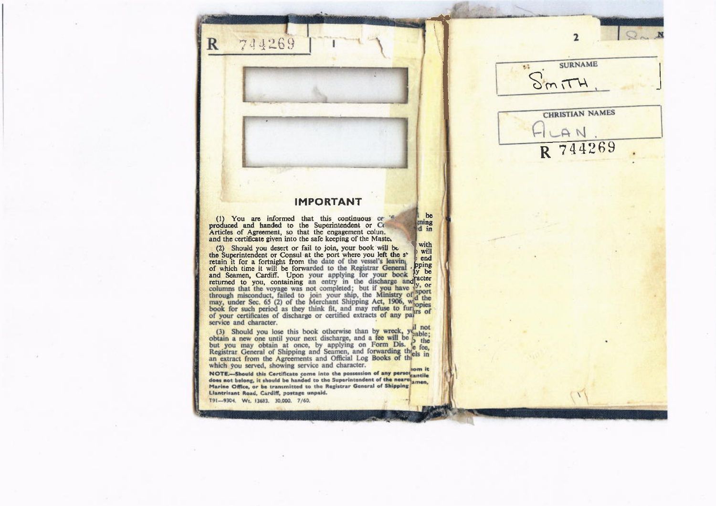## **IMPORTANT**

be

ming

d in

(1) You are informed that this continuous ce 's produced and handed to the Superintendent or Co Articles of Agreement, so that the engagement colun. and the certificate given into the safe keeping of the Maste.

744269

 $\mathbb{R}$ 

with (2) Should you desert or fail to join, your book will be will the Superintendent or Consul at the port where you left the s<sup>3</sup> end retain it for a fortnight from the date of the vessel's leaving retain it for a fortugal from the date of the vessels actume of which time it will be forwarded to the Registrar General point and Seamen, Cardiff. Upon your applying for your book by be returned to you, containing an entr pping service and character.

(3) Should you lose this book otherwise than by wreck, yet not obtain a new one until your next discharge, and a fee will be but you may obtain at once, by applying on Form Dis. A the Registrar General of Shipping and Seam which you served, showing service and character.

NOTE-Should this Certificate come into the possession of any person cantile does not belong, it should be handed to the Superintendent of the nearetamen. Marine Office, or be transmitted to the Registrar General of Shipping Llantrisant Road, Cardiff, postage unpaid.

T91-9304. Wt. 13683. 30,000. 7/60.

**SURNAME** 标  $dim_{1}TH$ 

 $\overline{2}$ 

 $Q_{\sim} N$ 

**CHRISTIAN NAMES** AN R 744269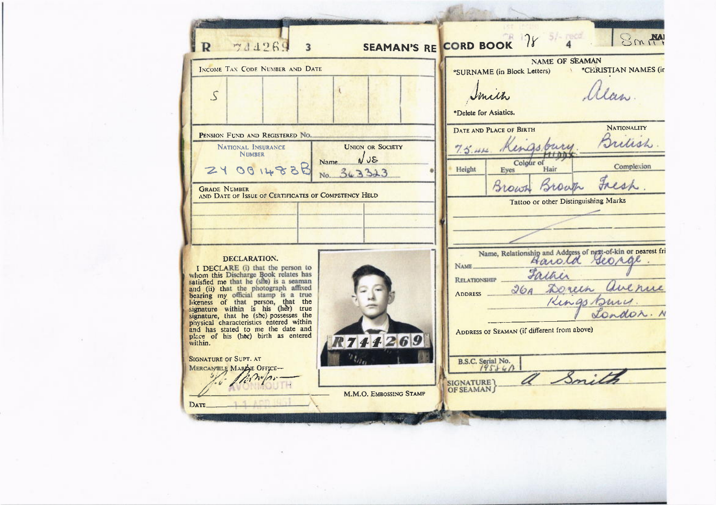| INCOME TAN CODE NUMBER AND DATE                                                                                                                                                                                                                  |                         | SEAMAN'S RE CORD BOOK 78 4 SMAN<br><b>NAME OF SEAMAN</b>     |                    |  |  |
|--------------------------------------------------------------------------------------------------------------------------------------------------------------------------------------------------------------------------------------------------|-------------------------|--------------------------------------------------------------|--------------------|--|--|
|                                                                                                                                                                                                                                                  |                         | *SURNAME (in Block Letters) ** CERISTIAN NAMES (in           |                    |  |  |
| $\mathcal{S}$                                                                                                                                                                                                                                    |                         | Imith                                                        | Unn                |  |  |
|                                                                                                                                                                                                                                                  |                         | *Delete for Asiatics.                                        |                    |  |  |
|                                                                                                                                                                                                                                                  |                         | DATE AND PLACE OF BIRTH                                      | <b>NATIONALITY</b> |  |  |
| PENSION FUND AND REGISTERED NO.<br>NATIONAL INSURANCE                                                                                                                                                                                            | <b>UNION OR SOCIETY</b> | 7.5.44 Kingsbury                                             | Pretish            |  |  |
| <b>NIMBER</b>                                                                                                                                                                                                                                    | NUS<br><b>Name</b>      | Colour of                                                    |                    |  |  |
| 24 00 14838                                                                                                                                                                                                                                      | No. 363323              | Eyes<br>Height<br>Hair                                       | Complexion         |  |  |
| <b>GRADE NUMBER</b><br>AND DATE OF ISSUE OF CERTIFICATES OF COMPETENCY HELD                                                                                                                                                                      |                         | Brown                                                        | Fresh.             |  |  |
|                                                                                                                                                                                                                                                  |                         | Tattoo or other Distinguishing Marks                         |                    |  |  |
|                                                                                                                                                                                                                                                  |                         |                                                              |                    |  |  |
|                                                                                                                                                                                                                                                  |                         |                                                              |                    |  |  |
| DECLARATION.                                                                                                                                                                                                                                     |                         | Name, Relationship and Address of next-of-kin or nearest fri |                    |  |  |
| I DECLARE (i) that the person to                                                                                                                                                                                                                 |                         | NAME_<br>Father                                              |                    |  |  |
| whom this Discharge Book relates has satisfied me that he (she) is a seaman                                                                                                                                                                      |                         | RELATIONSHIP                                                 |                    |  |  |
|                                                                                                                                                                                                                                                  |                         | 26 Doneen avenue<br>ADDRESS                                  |                    |  |  |
| add (ii) that the photograph affixed<br>and (ii) that the photograph affixed<br>bearing my official stamp is a true<br>likeness of that person, that the<br>signature within is his (her) true<br>signature, that he (she) possesses the<br>phys |                         |                                                              | Landon. N          |  |  |
| and has stated to me the date and<br>place of his (her) birth as entered                                                                                                                                                                         |                         | ADDRESS OF SEAMAN (if different from above)                  |                    |  |  |
| within.                                                                                                                                                                                                                                          | 744269                  |                                                              |                    |  |  |
| <b>SIGNATURE OF SUPT. AT</b><br>MERCANTILE MARGE OFFICE-                                                                                                                                                                                         |                         | B.S.C. Serial No.<br>19584A                                  |                    |  |  |
|                                                                                                                                                                                                                                                  |                         | $\mathscr{S}_{\mathbf{m}}$<br><b>SIGNATURE</b>               |                    |  |  |
|                                                                                                                                                                                                                                                  |                         | <b>OF SEAMAN</b>                                             |                    |  |  |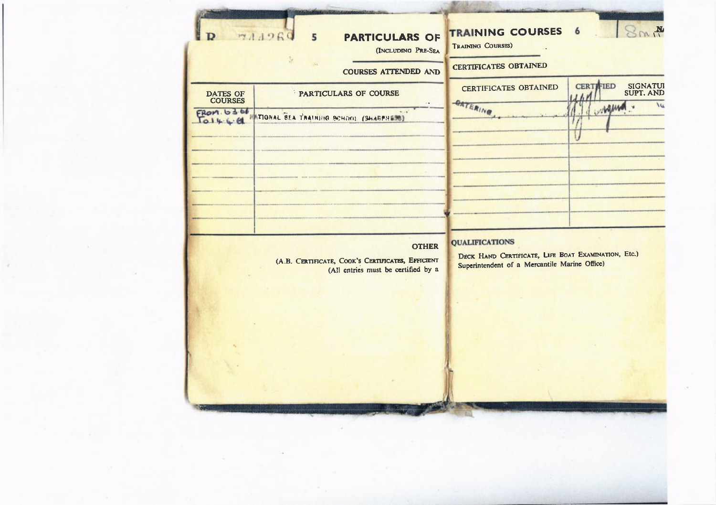| <b>DATES OF</b><br><b>COURSES</b><br>FROM. 63.66<br>$T_{01466}$ | <b>COURSES ATTENDED AND</b><br>PARTICULARS OF COURSE<br>TIGRAL BEA TRAINING BOHOO! (SHARPHERS)           | <b>CERTIFICATES OBTAINED</b><br><b>CERTIFICATES OBTAINED</b><br><b>OATERING</b>                                               | <b>CERTIFIED</b><br>SIGNATUI<br>SUPT. AND<br>WAM |
|-----------------------------------------------------------------|----------------------------------------------------------------------------------------------------------|-------------------------------------------------------------------------------------------------------------------------------|--------------------------------------------------|
|                                                                 | <b>OTHER</b><br>(A.B. CERTIFICATE, COOK'S CERTIFICATES, EFFICIENT<br>(All entries must be certified by a | <b>QUALIFICATIONS</b><br>DECK HAND CERTIFICATE, LIFE BOAT EXAMINATION, Etc.)<br>Superintendent of a Mercantile Marine Office) |                                                  |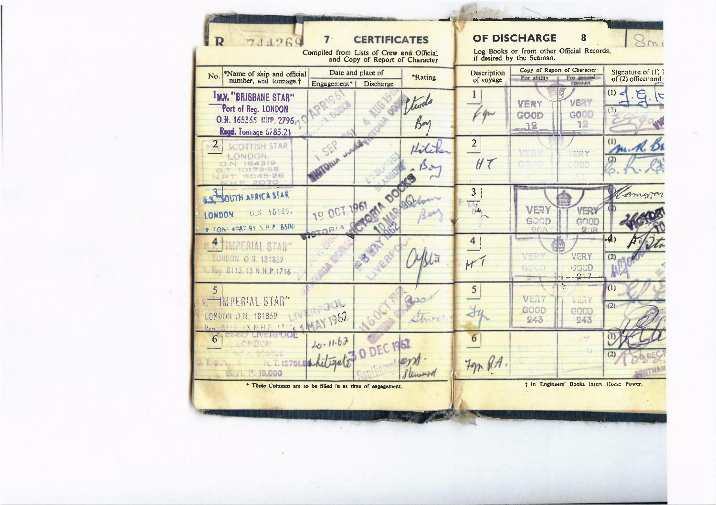| <b>CERTIFICATES</b><br>7.<br>$\mathbf{R}$<br>74426                                              |                          |                                                                  |                                                                        | OF DISCHARGE                                                                          |                        |                    |
|-------------------------------------------------------------------------------------------------|--------------------------|------------------------------------------------------------------|------------------------------------------------------------------------|---------------------------------------------------------------------------------------|------------------------|--------------------|
| Compiled from Lists of Crew and Official                                                        |                          |                                                                  | Log Books or from other Official Records,<br>if desired by the Seaman. |                                                                                       |                        |                    |
| and Copy of Report of Character<br>Date and place of<br>*Name of ship and official              |                          | Copy of Report of Character<br>Signature of (1) l<br>Description |                                                                        |                                                                                       |                        |                    |
| No.<br>number, and tonnage. <sup>+</sup>                                                        | Engagement*<br>Discharge | <b>*Rating</b>                                                   | of voyage                                                              | For ability                                                                           | For general<br>conduct | of (2) officer and |
| <b>1MN. "BRISBANE STAR"</b>                                                                     |                          | Stwde                                                            |                                                                        | VERY                                                                                  | <b>VERT</b>            | (1)                |
| Port of Reg. LONDON<br>O.N. 165365 NHP. 2796                                                    |                          |                                                                  |                                                                        | GOOD                                                                                  | GOOD                   | (2)                |
| Regd. Tonnage 6783.21                                                                           |                          |                                                                  |                                                                        | 12                                                                                    | 1.                     |                    |
| $2 \mid$<br><b>SCOTTISH STAR</b>                                                                | 553                      | Hilche                                                           | $\overline{c}$                                                         | VER                                                                                   |                        | (1)<br>M. R.       |
| LONDON.<br>O.N. 184319                                                                          | Oltun                    |                                                                  | $H\tau$                                                                |                                                                                       | <b>ICOV</b><br>oop     | (2)                |
| G.T. 10179-55<br>V.R.T. 5045-28                                                                 |                          |                                                                  |                                                                        |                                                                                       |                        |                    |
| SOUTH AFRICA STAR                                                                               | 19 OCT 1961 44 00        |                                                                  | $\overline{3}$                                                         |                                                                                       |                        |                    |
| O.R 18185.<br>LONDON.                                                                           |                          |                                                                  | <b>ALC</b>                                                             | VERY                                                                                  | VER                    |                    |
| <b>TONS 4987 91 5 B P 8500</b>                                                                  |                          |                                                                  |                                                                        | GOOD<br>$\frac{1}{2}$ , $\frac{1}{2}$ , $\frac{1}{2}$ , $\frac{1}{2}$ , $\frac{1}{2}$ | GOOD                   |                    |
| 4 TIMPERIAL STAR"                                                                               |                          |                                                                  | 4                                                                      |                                                                                       |                        | $\mathbf{A}$       |
| LUNDON O.N. 18:359                                                                              |                          |                                                                  | H <sub>1</sub>                                                         | VERV                                                                                  | <b>VERY</b>            | (2)                |
| E. Reg. 8113.13 N.H.P.1716                                                                      |                          |                                                                  |                                                                        | GUUL                                                                                  | GOOD<br>$-2+7$         |                    |
| 5.                                                                                              |                          |                                                                  | 5                                                                      |                                                                                       |                        | (1)                |
| <b>TIMPERIAL STAR</b> "                                                                         | $-30 -$                  |                                                                  |                                                                        | VERY<br>GOOD                                                                          | $L = 1$<br>GOOD        | (2)                |
| <b>CNDON O N 181859</b><br>$P_{20}$ $\lesssim$ $\frac{1}{2}$ $N$ HP $\sim$ $\sim$ $\epsilon$ RA | 1962                     | Strong                                                           |                                                                        | 243                                                                                   | 243                    |                    |
| LIVERPOOP<br>RSO.<br>6<br>OMDON                                                                 | 10.11.63                 |                                                                  | 6                                                                      |                                                                                       | $\sim$                 |                    |
|                                                                                                 | O DEC 1967               |                                                                  |                                                                        |                                                                                       |                        |                    |
| 2751.5<br><b>Controllection</b><br>S. 16.000                                                    |                          | Veneze                                                           | 7gr RA.                                                                |                                                                                       |                        |                    |
| * These Columns are to be filled in at time of engagement.                                      |                          |                                                                  | t In Engineers' Books insert Horse Power.                              |                                                                                       |                        |                    |
|                                                                                                 |                          |                                                                  |                                                                        |                                                                                       |                        |                    |
|                                                                                                 |                          |                                                                  |                                                                        |                                                                                       |                        |                    |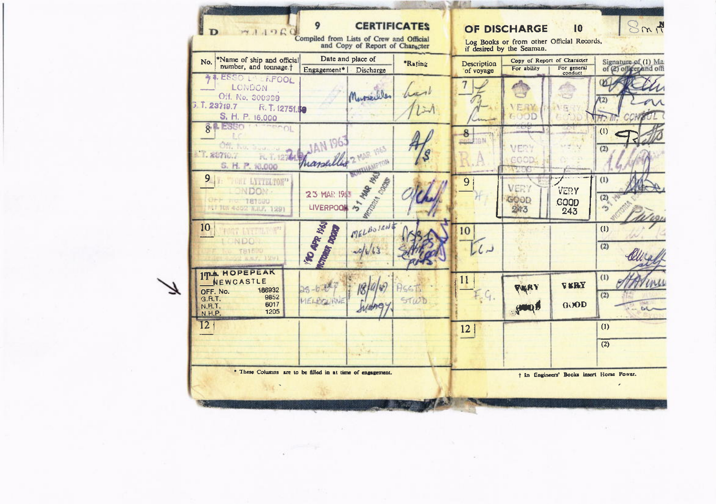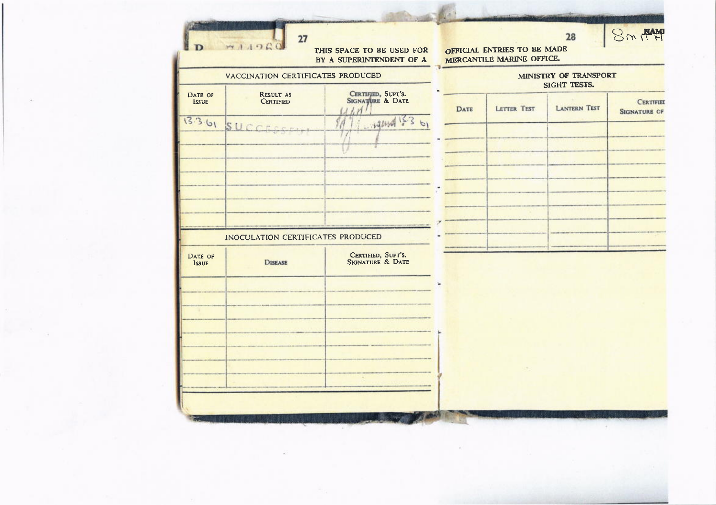